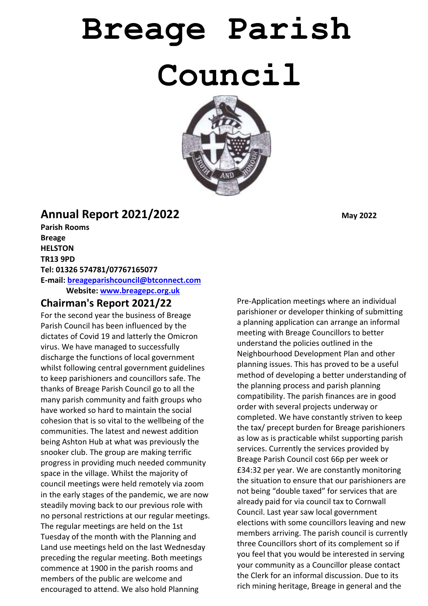# **Breage Parish Council**



# **Annual Report 2021/2022** May 2022

**Parish Rooms Breage HELSTON TR13 9PD Tel: 01326 574781/07767165077 E-mail: [breageparishcouncil@btconnect.com](mailto:breageparishcouncil@btconnect.com) Website: [www.breagepc.org.uk](http://www.breagepc.org.uk/)** 

### **Chairman's Report 2021/22**

For the second year the business of Breage Parish Council has been influenced by the dictates of Covid 19 and latterly the Omicron virus. We have managed to successfully discharge the functions of local government whilst following central government guidelines to keep parishioners and councillors safe. The thanks of Breage Parish Council go to all the many parish community and faith groups who have worked so hard to maintain the social cohesion that is so vital to the wellbeing of the communities. The latest and newest addition being Ashton Hub at what was previously the snooker club. The group are making terrific progress in providing much needed community space in the village. Whilst the majority of council meetings were held remotely via zoom in the early stages of the pandemic, we are now steadily moving back to our previous role with no personal restrictions at our regular meetings. The regular meetings are held on the 1st Tuesday of the month with the Planning and Land use meetings held on the last Wednesday preceding the regular meeting. Both meetings commence at 1900 in the parish rooms and members of the public are welcome and encouraged to attend. We also hold Planning

Pre-Application meetings where an individual parishioner or developer thinking of submitting a planning application can arrange an informal meeting with Breage Councillors to better understand the policies outlined in the Neighbourhood Development Plan and other planning issues. This has proved to be a useful method of developing a better understanding of the planning process and parish planning compatibility. The parish finances are in good order with several projects underway or completed. We have constantly striven to keep the tax/ precept burden for Breage parishioners as low as is practicable whilst supporting parish services. Currently the services provided by Breage Parish Council cost 66p per week or £34:32 per year. We are constantly monitoring the situation to ensure that our parishioners are not being "double taxed" for services that are already paid for via council tax to Cornwall Council. Last year saw local government elections with some councillors leaving and new members arriving. The parish council is currently three Councillors short of its complement so if you feel that you would be interested in serving your community as a Councillor please contact the Clerk for an informal discussion. Due to its rich mining heritage, Breage in general and the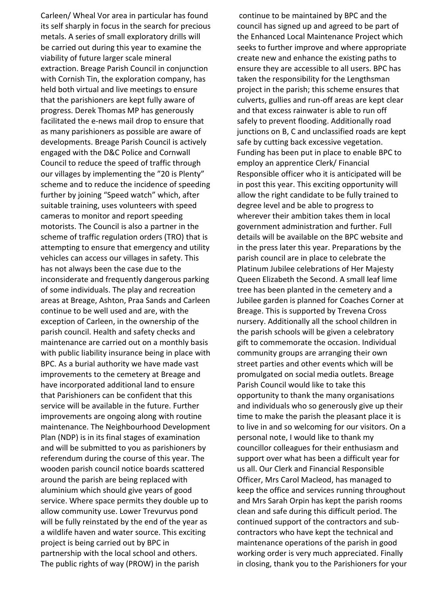Carleen/ Wheal Vor area in particular has found its self sharply in focus in the search for precious metals. A series of small exploratory drills will be carried out during this year to examine the viability of future larger scale mineral extraction. Breage Parish Council in conjunction with Cornish Tin, the exploration company, has held both virtual and live meetings to ensure that the parishioners are kept fully aware of progress. Derek Thomas MP has generously facilitated the e-news mail drop to ensure that as many parishioners as possible are aware of developments. Breage Parish Council is actively engaged with the D&C Police and Cornwall Council to reduce the speed of traffic through our villages by implementing the "20 is Plenty" scheme and to reduce the incidence of speeding further by joining "Speed watch" which, after suitable training, uses volunteers with speed cameras to monitor and report speeding motorists. The Council is also a partner in the scheme of traffic regulation orders (TRO) that is attempting to ensure that emergency and utility vehicles can access our villages in safety. This has not always been the case due to the inconsiderate and frequently dangerous parking of some individuals. The play and recreation areas at Breage, Ashton, Praa Sands and Carleen continue to be well used and are, with the exception of Carleen, in the ownership of the parish council. Health and safety checks and maintenance are carried out on a monthly basis with public liability insurance being in place with BPC. As a burial authority we have made vast improvements to the cemetery at Breage and have incorporated additional land to ensure that Parishioners can be confident that this service will be available in the future. Further improvements are ongoing along with routine maintenance. The Neighbourhood Development Plan (NDP) is in its final stages of examination and will be submitted to you as parishioners by referendum during the course of this year. The wooden parish council notice boards scattered around the parish are being replaced with aluminium which should give years of good service. Where space permits they double up to allow community use. Lower Trevurvus pond will be fully reinstated by the end of the year as a wildlife haven and water source. This exciting project is being carried out by BPC in partnership with the local school and others. The public rights of way (PROW) in the parish

continue to be maintained by BPC and the council has signed up and agreed to be part of the Enhanced Local Maintenance Project which seeks to further improve and where appropriate create new and enhance the existing paths to ensure they are accessible to all users. BPC has taken the responsibility for the Lengthsman project in the parish; this scheme ensures that culverts, gullies and run-off areas are kept clear and that excess rainwater is able to run off safely to prevent flooding. Additionally road junctions on B, C and unclassified roads are kept safe by cutting back excessive vegetation. Funding has been put in place to enable BPC to employ an apprentice Clerk/ Financial Responsible officer who it is anticipated will be in post this year. This exciting opportunity will allow the right candidate to be fully trained to degree level and be able to progress to wherever their ambition takes them in local government administration and further. Full details will be available on the BPC website and in the press later this year. Preparations by the parish council are in place to celebrate the Platinum Jubilee celebrations of Her Majesty Queen Elizabeth the Second. A small leaf lime tree has been planted in the cemetery and a Jubilee garden is planned for Coaches Corner at Breage. This is supported by Trevena Cross nursery. Additionally all the school children in the parish schools will be given a celebratory gift to commemorate the occasion. Individual community groups are arranging their own street parties and other events which will be promulgated on social media outlets. Breage Parish Council would like to take this opportunity to thank the many organisations and individuals who so generously give up their time to make the parish the pleasant place it is to live in and so welcoming for our visitors. On a personal note, I would like to thank my councillor colleagues for their enthusiasm and support over what has been a difficult year for us all. Our Clerk and Financial Responsible Officer, Mrs Carol Macleod, has managed to keep the office and services running throughout and Mrs Sarah Orpin has kept the parish rooms clean and safe during this difficult period. The continued support of the contractors and subcontractors who have kept the technical and maintenance operations of the parish in good working order is very much appreciated. Finally in closing, thank you to the Parishioners for your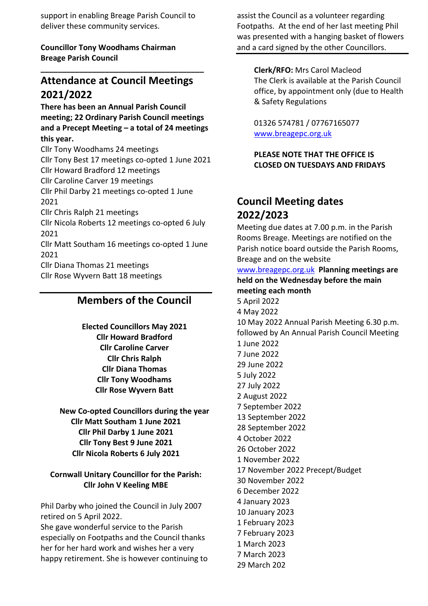support in enabling Breage Parish Council to deliver these community services.

**Councillor Tony Woodhams Chairman Breage Parish Council**

# **Attendance at Council Meetings 2021/2022**

**\_\_\_\_\_\_\_\_\_\_\_\_\_\_\_\_\_\_\_\_\_\_\_\_\_\_\_\_\_\_\_\_\_\_\_\_\_\_**

**There has been an Annual Parish Council meeting; 22 Ordinary Parish Council meetings and a Precept Meeting – a total of 24 meetings this year.** 

Cllr Tony Woodhams 24 meetings Cllr Tony Best 17 meetings co-opted 1 June 2021 Cllr Howard Bradford 12 meetings Cllr Caroline Carver 19 meetings Cllr Phil Darby 21 meetings co-opted 1 June 2021 Cllr Chris Ralph 21 meetings Cllr Nicola Roberts 12 meetings co-opted 6 July 2021 Cllr Matt Southam 16 meetings co-opted 1 June 2021 Cllr Diana Thomas 21 meetings Cllr Rose Wyvern Batt 18 meetings

## **Members of the Council**

**Elected Councillors May 2021 Cllr Howard Bradford Cllr Caroline Carver Cllr Chris Ralph Cllr Diana Thomas Cllr Tony Woodhams Cllr Rose Wyvern Batt**

**New Co-opted Councillors during the year Cllr Matt Southam 1 June 2021 Cllr Phil Darby 1 June 2021 Cllr Tony Best 9 June 2021 Cllr Nicola Roberts 6 July 2021**

#### **Cornwall Unitary Councillor for the Parish: Cllr John V Keeling MBE**

Phil Darby who joined the Council in July 2007 retired on 5 April 2022.

She gave wonderful service to the Parish especially on Footpaths and the Council thanks her for her hard work and wishes her a very happy retirement. She is however continuing to assist the Council as a volunteer regarding Footpaths. At the end of her last meeting Phil was presented with a hanging basket of flowers and a card signed by the other Councillors.

#### **Clerk/RFO:** Mrs Carol Macleod The Clerk is available at the Parish Council office, by appointment only (due to Health & Safety Regulations

01326 574781 / 07767165077 [www.breagepc.org.uk](http://www.breagepc.org.uk/)

**PLEASE NOTE THAT THE OFFICE IS CLOSED ON TUESDAYS AND FRIDAYS**

## **Council Meeting dates 2022/2023**

Meeting due dates at 7.00 p.m. in the Parish Rooms Breage. Meetings are notified on the Parish notice board outside the Parish Rooms, Breage and on the website

#### [www.breagepc.org.uk](http://www.breagepc.org.uk/) **Planning meetings are held on the Wednesday before the main meeting each month**

5 April 2022 4 May 2022 10 May 2022 Annual Parish Meeting 6.30 p.m. followed by An Annual Parish Council Meeting 1 June 2022 7 June 2022 29 June 2022 5 July 2022 27 July 2022 2 August 2022 7 September 2022 13 September 2022 28 September 2022 4 October 2022 26 October 2022 1 November 2022 17 November 2022 Precept/Budget 30 November 2022 6 December 2022 4 January 2023 10 January 2023 1 February 2023 7 February 2023 1 March 2023 7 March 2023 29 March 202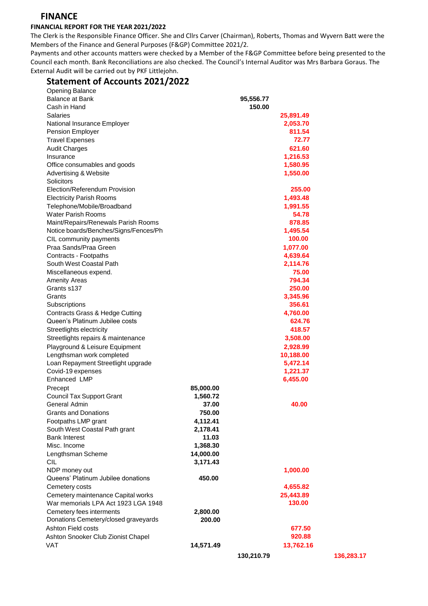#### **FINANCE**

#### **FINANCIAL REPORT FOR THE YEAR 2021/2022**

The Clerk is the Responsible Finance Officer. She and Cllrs Carver (Chairman), Roberts, Thomas and Wyvern Batt were the Members of the Finance and General Purposes (F&GP) Committee 2021/2.

Payments and other accounts matters were checked by a Member of the F&GP Committee before being presented to the Council each month. Bank Reconciliations are also checked. The Council's Internal Auditor was Mrs Barbara Goraus. The External Audit will be carried out by PKF Littlejohn.

#### **Statement of Accounts 2021/2022**

| <b>Opening Balance</b>                |           |           |
|---------------------------------------|-----------|-----------|
| <b>Balance at Bank</b>                |           | 95,556.77 |
| Cash in Hand                          |           | 150.00    |
| <b>Salaries</b>                       |           | 25,891.49 |
| National Insurance Employer           |           | 2,053.70  |
| Pension Employer                      |           | 811.54    |
| <b>Travel Expenses</b>                |           | 72.77     |
| <b>Audit Charges</b>                  |           | 621.60    |
| Insurance                             |           | 1,216.53  |
| Office consumables and goods          |           | 1,580.95  |
| Advertising & Website                 |           | 1,550.00  |
| Solicitors                            |           |           |
| Election/Referendum Provision         |           | 255.00    |
| <b>Electricity Parish Rooms</b>       |           | 1,493.48  |
| Telephone/Mobile/Broadband            |           | 1,991.55  |
| <b>Water Parish Rooms</b>             |           | 54.78     |
| Maint/Repairs/Renewals Parish Rooms   |           | 878.85    |
| Notice boards/Benches/Signs/Fences/Ph |           | 1,495.54  |
| CIL community payments                |           | 100.00    |
| Praa Sands/Praa Green                 |           | 1,077.00  |
| Contracts - Footpaths                 |           | 4,639.64  |
| South West Coastal Path               |           | 2,114.76  |
| Miscellaneous expend.                 |           | 75.00     |
| <b>Amenity Areas</b>                  |           | 794.34    |
| Grants s137                           |           | 250.00    |
| Grants                                |           | 3,345.96  |
| Subscriptions                         |           | 356.61    |
| Contracts Grass & Hedge Cutting       |           | 4,760.00  |
| Queen's Platinum Jubilee costs        |           | 624.76    |
| Streetlights electricity              |           | 418.57    |
| Streetlights repairs & maintenance    |           | 3,508.00  |
| Playground & Leisure Equipment        |           | 2,928.99  |
| Lengthsman work completed             |           | 10,188.00 |
| Loan Repayment Streetlight upgrade    |           | 5,472.14  |
| Covid-19 expenses                     |           | 1,221.37  |
| Enhanced LMP                          |           | 6,455.00  |
| Precept                               | 85,000.00 |           |
| <b>Council Tax Support Grant</b>      | 1,560.72  |           |
| General Admin                         | 37.00     | 40.00     |
| <b>Grants and Donations</b>           | 750.00    |           |
| Footpaths LMP grant                   | 4,112.41  |           |
| South West Coastal Path grant         | 2,178.41  |           |
| <b>Bank Interest</b>                  | 11.03     |           |
| Misc. Income                          | 1,368.30  |           |
| Lengthsman Scheme                     | 14,000.00 |           |
| <b>CIL</b>                            | 3,171.43  |           |
| NDP money out                         |           | 1,000.00  |
| Queens' Platinum Jubilee donations    | 450.00    |           |
| Cemetery costs                        |           | 4,655.82  |
| Cemetery maintenance Capital works    |           | 25,443.89 |
| War memorials LPA Act 1923 LGA 1948   |           | 130.00    |
| Cemetery fees interments              | 2,800.00  |           |
| Donations Cemetery/closed graveyards  | 200.00    |           |
| <b>Ashton Field costs</b>             |           | 677.50    |
| Ashton Snooker Club Zionist Chapel    |           | 920.88    |
| <b>VAT</b>                            | 14,571.49 | 13,762.16 |
|                                       |           |           |

**130,210.79**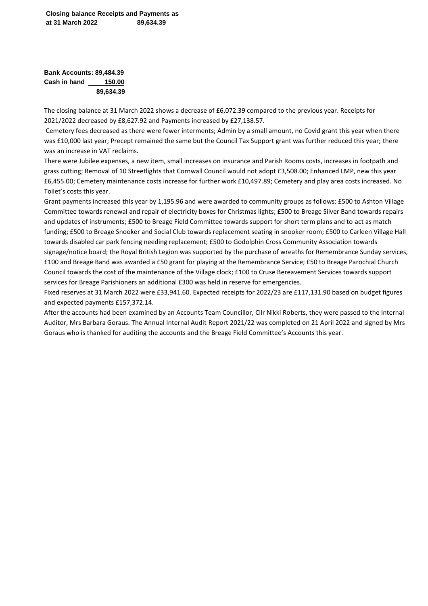**Bank Accounts: 89,484.39 Cash in hand 150.00 89,634.39**

The closing balance at 31 March 2022 shows a decrease of £6,072.39 compared to the previous year. Receipts for 2021/2022 decreased by £8,627.92 and Payments increased by £27,138.57.

Cemetery fees decreased as there were fewer interments; Admin by a small amount, no Covid grant this year when there was £10,000 last year; Precept remained the same but the Council Tax Support grant was further reduced this year; there was an increase in VAT reclaims.

There were Jubilee expenses, a new item, small increases on insurance and Parish Rooms costs, increases in footpath and grass cutting; Removal of 10 Streetlights that Cornwall Council would not adopt £3,508.00; Enhanced LMP, new this year £6,455.00; Cemetery maintenance costs increase for further work £10,497.89; Cemetery and play area costs increased. No Toilet's costs this year.

Grant payments increased this year by 1,195.96 and were awarded to community groups as follows: £500 to Ashton Village Committee towards renewal and repair of electricity boxes for Christmas lights; £500 to Breage Silver Band towards repairs and updates of instruments; £500 to Breage Field Committee towards support for short term plans and to act as match funding; £500 to Breage Snooker and Social Club towards replacement seating in snooker room; £500 to Carleen Village Hall towards disabled car park fencing needing replacement; £500 to Godolphin Cross Community Association towards signage/notice board; the Royal British Legion was supported by the purchase of wreaths for Remembrance Sunday services, £100 and Breage Band was awarded a £50 grant for playing at the Remembrance Service; £50 to Breage Parochial Church Council towards the cost of the maintenance of the Village clock; £100 to Cruse Bereavement Services towards support services for Breage Parishioners an additional £300 was held in reserve for emergencies.

Fixed reserves at 31 March 2022 were £33,941.60. Expected receipts for 2022/23 are £117,131.90 based on budget figures and expected payments £157,372.14.

After the accounts had been examined by an Accounts Team Councillor, Cllr Nikki Roberts, they were passed to the Internal Auditor, Mrs Barbara Goraus. The Annual Internal Audit Report 2021/22 was completed on 21 April 2022 and signed by Mrs Goraus who is thanked for auditing the accounts and the Breage Field Committee's Accounts this year.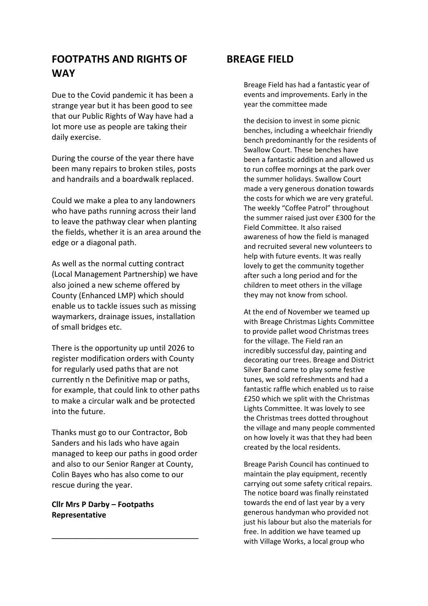## **FOOTPATHS AND RIGHTS OF WAY**

Due to the Covid pandemic it has been a strange year but it has been good to see that our Public Rights of Way have had a lot more use as people are taking their daily exercise.

During the course of the year there have been many repairs to broken stiles, posts and handrails and a boardwalk replaced.

Could we make a plea to any landowners who have paths running across their land to leave the pathway clear when planting the fields, whether it is an area around the edge or a diagonal path.

As well as the normal cutting contract (Local Management Partnership) we have also joined a new scheme offered by County (Enhanced LMP) which should enable us to tackle issues such as missing waymarkers, drainage issues, installation of small bridges etc.

There is the opportunity up until 2026 to register modification orders with County for regularly used paths that are not currently n the Definitive map or paths, for example, that could link to other paths to make a circular walk and be protected into the future.

Thanks must go to our Contractor, Bob Sanders and his lads who have again managed to keep our paths in good order and also to our Senior Ranger at County, Colin Bayes who has also come to our rescue during the year.

**\_\_\_\_\_\_\_\_\_\_\_\_\_\_\_\_\_\_\_\_\_\_\_\_\_\_\_\_\_\_\_\_\_\_**

#### **Cllr Mrs P Darby – Footpaths Representative**

## **BREAGE FIELD**

Breage Field has had a fantastic year of events and improvements. Early in the year the committee made

the decision to invest in some picnic benches, including a wheelchair friendly bench predominantly for the residents of Swallow Court. These benches have been a fantastic addition and allowed us to run coffee mornings at the park over the summer holidays. Swallow Court made a very generous donation towards the costs for which we are very grateful. The weekly "Coffee Patrol" throughout the summer raised just over £300 for the Field Committee. It also raised awareness of how the field is managed and recruited several new volunteers to help with future events. It was really lovely to get the community together after such a long period and for the children to meet others in the village they may not know from school.

At the end of November we teamed up with Breage Christmas Lights Committee to provide pallet wood Christmas trees for the village. The Field ran an incredibly successful day, painting and decorating our trees. Breage and District Silver Band came to play some festive tunes, we sold refreshments and had a fantastic raffle which enabled us to raise £250 which we split with the Christmas Lights Committee. It was lovely to see the Christmas trees dotted throughout the village and many people commented on how lovely it was that they had been created by the local residents.

Breage Parish Council has continued to maintain the play equipment, recently carrying out some safety critical repairs. The notice board was finally reinstated towards the end of last year by a very generous handyman who provided not just his labour but also the materials for free. In addition we have teamed up with Village Works, a local group who